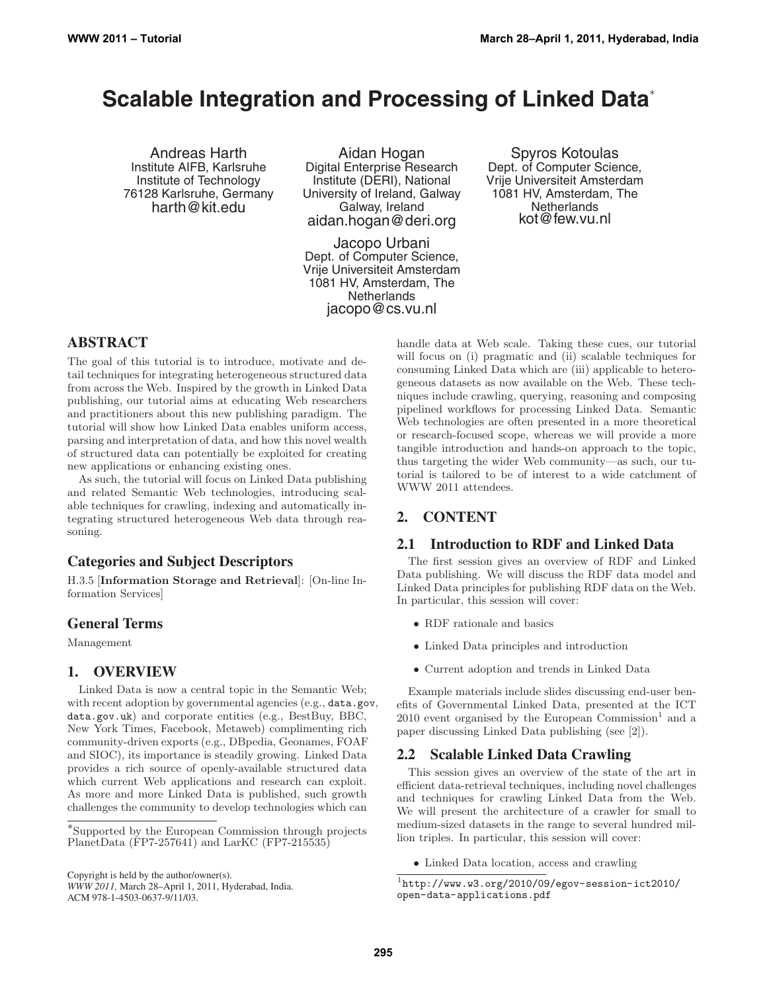# **Scalable Integration and Processing of Linked Data**<sup>∗</sup>

Andreas Harth Institute AIFB, Karlsruhe Institute of Technology 76128 Karlsruhe, Germany harth@kit.edu

Aidan Hogan Digital Enterprise Research Institute (DERI), National University of Ireland, Galway Galway, Ireland aidan.hogan@deri.org

Jacopo Urbani Dept. of Computer Science, Vrije Universiteit Amsterdam 1081 HV, Amsterdam, The **Netherlands** jacopo@cs.vu.nl

Spyros Kotoulas Dept. of Computer Science, Vrije Universiteit Amsterdam 1081 HV, Amsterdam, The **Netherlands** kot@few.vu.nl

# **ABSTRACT**

The goal of this tutorial is to introduce, motivate and detail techniques for integrating heterogeneous structured data from across the Web. Inspired by the growth in Linked Data publishing, our tutorial aims at educating Web researchers and practitioners about this new publishing paradigm. The tutorial will show how Linked Data enables uniform access, parsing and interpretation of data, and how this novel wealth of structured data can potentially be exploited for creating new applications or enhancing existing ones.

As such, the tutorial will focus on Linked Data publishing and related Semantic Web technologies, introducing scalable techniques for crawling, indexing and automatically integrating structured heterogeneous Web data through reasoning.

## **Categories and Subject Descriptors**

H.3.5 [**Information Storage and Retrieval**]: [On-line Information Services]

## **General Terms**

Management

## **1. OVERVIEW**

Linked Data is now a central topic in the Semantic Web; with recent adoption by governmental agencies (e.g., data.gov, data.gov.uk) and corporate entities (e.g., BestBuy, BBC, New York Times, Facebook, Metaweb) complimenting rich community-driven exports (e.g., DBpedia, Geonames, FOAF and SIOC), its importance is steadily growing. Linked Data provides a rich source of openly-available structured data which current Web applications and research can exploit. As more and more Linked Data is published, such growth challenges the community to develop technologies which can

*WWW 2011,* March 28–April 1, 2011, Hyderabad, India. ACM 978-1-4503-0637-9/11/03.

handle data at Web scale. Taking these cues, our tutorial will focus on (i) pragmatic and (ii) scalable techniques for consuming Linked Data which are (iii) applicable to heterogeneous datasets as now available on the Web. These techniques include crawling, querying, reasoning and composing pipelined workflows for processing Linked Data. Semantic Web technologies are often presented in a more theoretical or research-focused scope, whereas we will provide a more tangible introduction and hands-on approach to the topic, thus targeting the wider Web community—as such, our tutorial is tailored to be of interest to a wide catchment of WWW 2011 attendees.

## **2. CONTENT**

## **2.1 Introduction to RDF and Linked Data**

The first session gives an overview of RDF and Linked Data publishing. We will discuss the RDF data model and Linked Data principles for publishing RDF data on the Web. In particular, this session will cover:

- RDF rationale and basics
- Linked Data principles and introduction
- Current adoption and trends in Linked Data

Example materials include slides discussing end-user benefits of Governmental Linked Data, presented at the ICT  $2010$  event organised by the European Commission<sup>1</sup> and a paper discussing Linked Data publishing (see [2]).

## **2.2 Scalable Linked Data Crawling**

This session gives an overview of the state of the art in efficient data-retrieval techniques, including novel challenges and techniques for crawling Linked Data from the Web. We will present the architecture of a crawler for small to medium-sized datasets in the range to several hundred million triples. In particular, this session will cover:

• Linked Data location, access and crawling

<sup>∗</sup>Supported by the European Commission through projects PlanetData (FP7-257641) and LarKC (FP7-215535)

Copyright is held by the author/owner(s).

 $1$ http://www.w3.org/2010/09/egov-session-ict2010/ open-data-applications.pdf